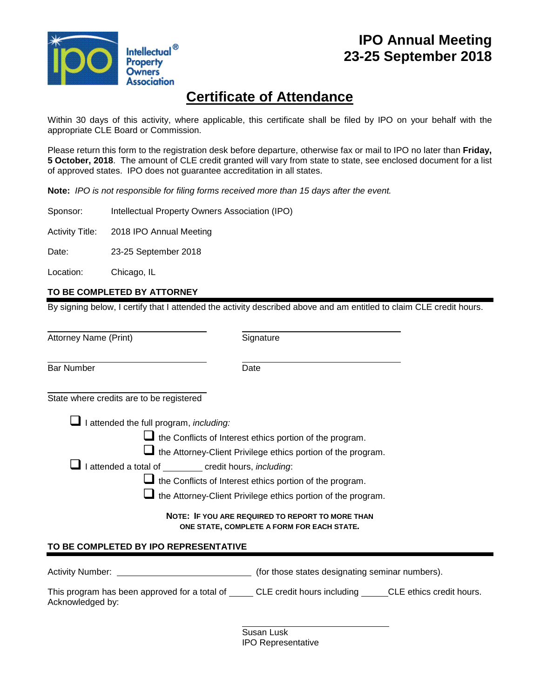

### **IPO Annual Meeting 23-25 September 2018**

## **Certificate of Attendance**

Within 30 days of this activity, where applicable, this certificate shall be filed by IPO on your behalf with the appropriate CLE Board or Commission.

Please return this form to the registration desk before departure, otherwise fax or mail to IPO no later than **Friday, 5 October, 2018**. The amount of CLE credit granted will vary from state to state, see enclosed document for a list of approved states. IPO does not guarantee accreditation in all states.

**Note:** *IPO is not responsible for filing forms received more than 15 days after the event.*

Sponsor: Intellectual Property Owners Association (IPO)

Activity Title: 2018 IPO Annual Meeting

Date: 23-25 September 2018

Location: Chicago, IL

#### **TO BE COMPLETED BY ATTORNEY**

By signing below, I certify that I attended the activity described above and am entitled to claim CLE credit hours.

Attorney Name (Print) Signature

l Bar Number **Date** 

l

l State where credits are to be registered

I attended the full program, *including:*

 $\Box$  the Conflicts of Interest ethics portion of the program.

 $\Box$  the Attorney-Client Privilege ethics portion of the program.

I attended a total of credit hours, *including*:

 $\Box$  the Conflicts of Interest ethics portion of the program.

 $\Box$  the Attorney-Client Privilege ethics portion of the program.

**NOTE: IF YOU ARE REQUIRED TO REPORT TO MORE THAN ONE STATE, COMPLETE A FORM FOR EACH STATE***.*

#### **TO BE COMPLETED BY IPO REPRESENTATIVE**

Activity Number: (for those states designating seminar numbers).

| This program has been approved for a total of | CLE credit hours including | CLE ethics credit hours. |
|-----------------------------------------------|----------------------------|--------------------------|
| Acknowledged by:                              |                            |                          |

l

Susan Lusk IPO Representative